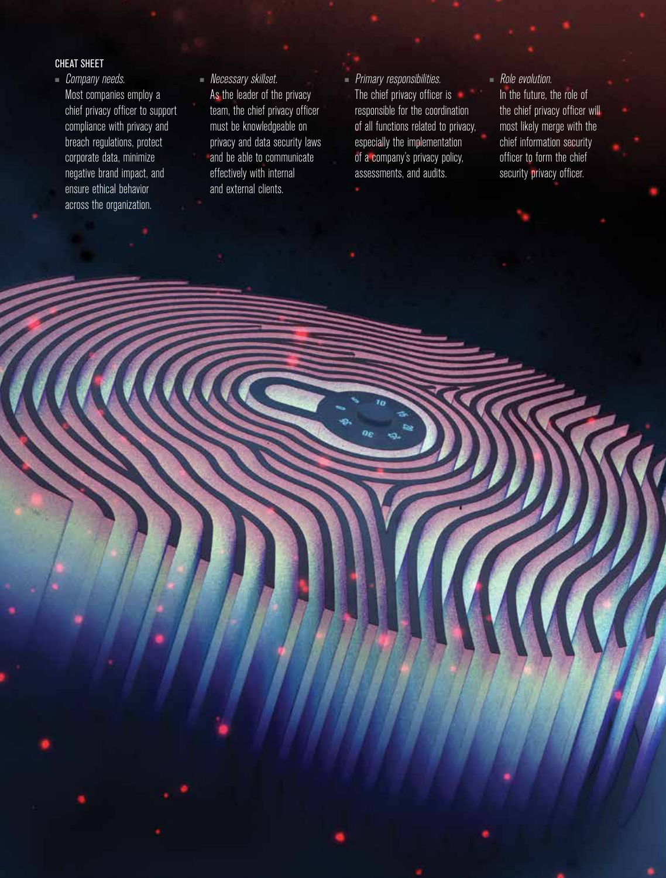## CHEAT SHEET

- Company needs. Most companies employ a chief privacy officer to support compliance with privacy and breach regulations, protect corporate data, minimize negative brand impact, and ensure ethical behavior across the organization.
- Necessary skillset. As the leader of the privacy team, the chief privacy officer must be knowledgeable on privacy and data security laws and be able to communicate effectively with internal and external clients.
- Primary responsibilities. The chief privacy officer is responsible for the coordination of all functions related to privacy, especially the implementation of a company's privacy policy, assessments, and audits.

# ■ Role evolution.

In the future, the role of the chief privacy officer will most likely merge with the chief information security officer to form the chief security privacy officer.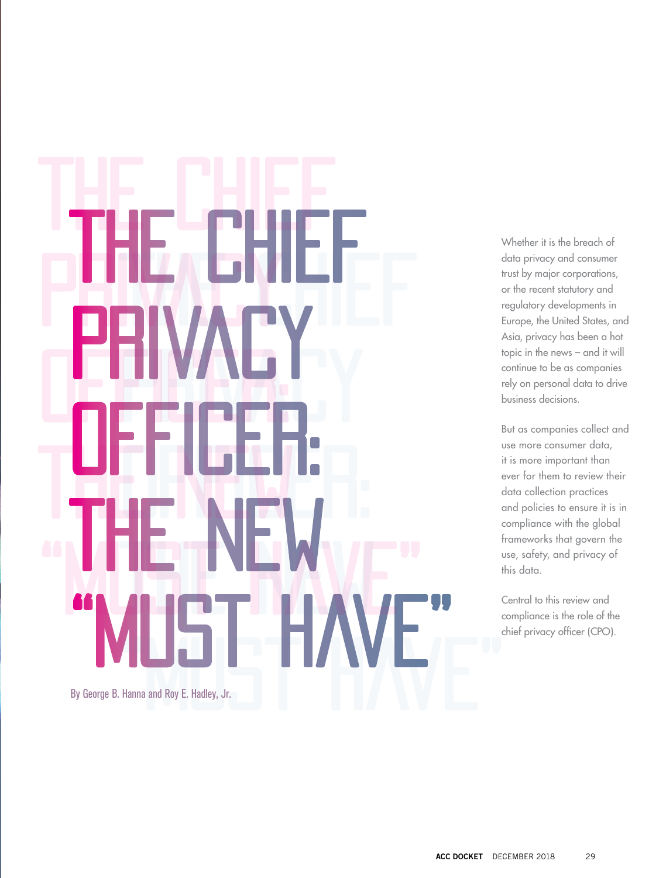# The Chief PRIVACY Officer: THE NEW "Must Have" The Chief Chief Chief Chief Chief Chief Chief Chief Chief Chief Chief Chief Chief Chief Chief Chief Chief Chief<br>The Chief Chief Chief Chief Chief Chief Chief Chief Chief Chief Chief Chief Chief Chief Chief Chief Chief Chie Privacy Mary Officer: "MUST HAVE" Hanna and Roy E. Hadley, Jr. The Chief **Privacy**<br>Privacy The New By George B. Hanna and Roy E. Hadley, Jr.

Whether it is the breach of data privacy and consumer trust by major corporations, or the recent statutory and regulatory developments in Europe, the United States, and Asia, privacy has been a hot topic in the news – and it will continue to be as companies rely on personal data to drive business decisions.

But as companies collect and use more consumer data, it is more important than ever for them to review their data collection practices and policies to ensure it is in compliance with the global frameworks that govern the use, safety, and privacy of this data.

Central to this review and compliance is the role of the chief privacy officer (CPO).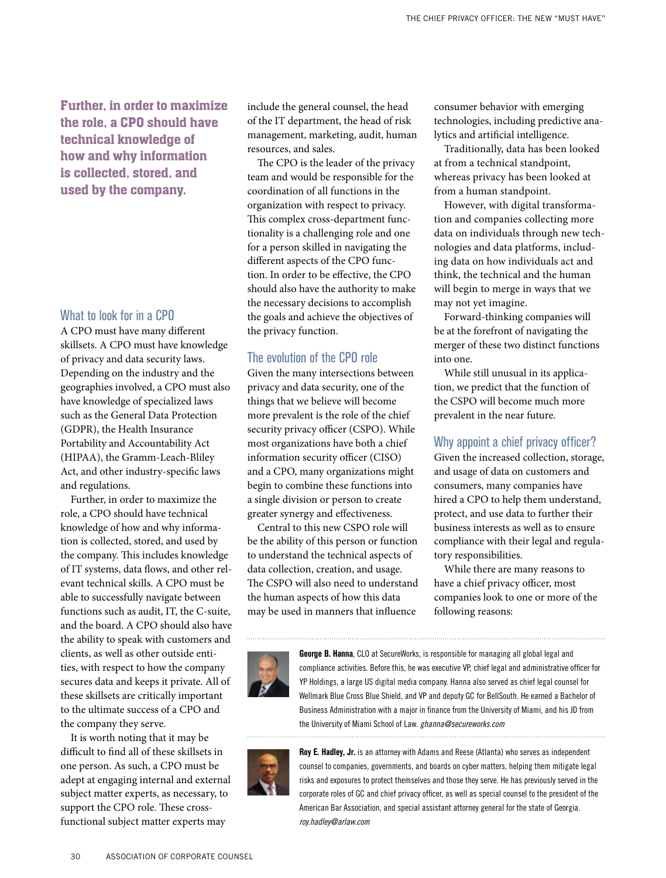Further, in order to maximize the role, a CPO should have technical knowledge of how and why information is collected, stored, and used by the company.

## What to look for in a CPO

A CPO must have many different skillsets. A CPO must have knowledge of privacy and data security laws. Depending on the industry and the geographies involved, a CPO must also have knowledge of specialized laws such as the General Data Protection (GDPR), the Health Insurance Portability and Accountability Act (HIPAA), the Gramm-Leach-Bliley Act, and other industry-specific laws and regulations.

Further, in order to maximize the role, a CPO should have technical knowledge of how and why information is collected, stored, and used by the company. This includes knowledge of IT systems, data flows, and other relevant technical skills. A CPO must be able to successfully navigate between functions such as audit, IT, the C-suite, and the board. A CPO should also have the ability to speak with customers and clients, as well as other outside entities, with respect to how the company secures data and keeps it private. All of these skillsets are critically important to the ultimate success of a CPO and the company they serve.

It is worth noting that it may be difficult to find all of these skillsets in one person. As such, a CPO must be adept at engaging internal and external subject matter experts, as necessary, to support the CPO role. These crossfunctional subject matter experts may

include the general counsel, the head of the IT department, the head of risk management, marketing, audit, human resources, and sales.

The CPO is the leader of the privacy team and would be responsible for the coordination of all functions in the organization with respect to privacy. This complex cross-department functionality is a challenging role and one for a person skilled in navigating the different aspects of the CPO function. In order to be effective, the CPO should also have the authority to make the necessary decisions to accomplish the goals and achieve the objectives of the privacy function.

# The evolution of the CPO role

Given the many intersections between privacy and data security, one of the things that we believe will become more prevalent is the role of the chief security privacy officer (CSPO). While most organizations have both a chief information security officer (CISO) and a CPO, many organizations might begin to combine these functions into a single division or person to create greater synergy and effectiveness.

Central to this new CSPO role will be the ability of this person or function to understand the technical aspects of data collection, creation, and usage. The CSPO will also need to understand the human aspects of how this data may be used in manners that influence

consumer behavior with emerging technologies, including predictive analytics and artificial intelligence.

Traditionally, data has been looked at from a technical standpoint, whereas privacy has been looked at from a human standpoint.

However, with digital transformation and companies collecting more data on individuals through new technologies and data platforms, including data on how individuals act and think, the technical and the human will begin to merge in ways that we may not yet imagine.

Forward-thinking companies will be at the forefront of navigating the merger of these two distinct functions into one.

While still unusual in its application, we predict that the function of the CSPO will become much more prevalent in the near future.

## Why appoint a chief privacy officer?

Given the increased collection, storage, and usage of data on customers and consumers, many companies have hired a CPO to help them understand, protect, and use data to further their business interests as well as to ensure compliance with their legal and regulatory responsibilities.

While there are many reasons to have a chief privacy officer, most companies look to one or more of the following reasons:



**George B. Hanna**, CLO at SecureWorks, is responsible for managing all global legal and compliance activities. Before this, he was executive VP, chief legal and administrative officer for YP Holdings, a large US digital media company. Hanna also served as chief legal counsel for Wellmark Blue Cross Blue Shield, and VP and deputy GC for BellSouth. He earned a Bachelor of Business Administration with a major in finance from the University of Miami, and his JD from the University of Miami School of Law. *ghanna@secureworks.com*



**Roy E. Hadley, Jr.** is an attorney with Adams and Reese (Atlanta) who serves as independent counsel to companies, governments, and boards on cyber matters, helping them mitigate legal risks and exposures to protect themselves and those they serve. He has previously served in the corporate roles of GC and chief privacy officer, as well as special counsel to the president of the American Bar Association, and special assistant attorney general for the state of Georgia. *roy.hadley@arlaw.com*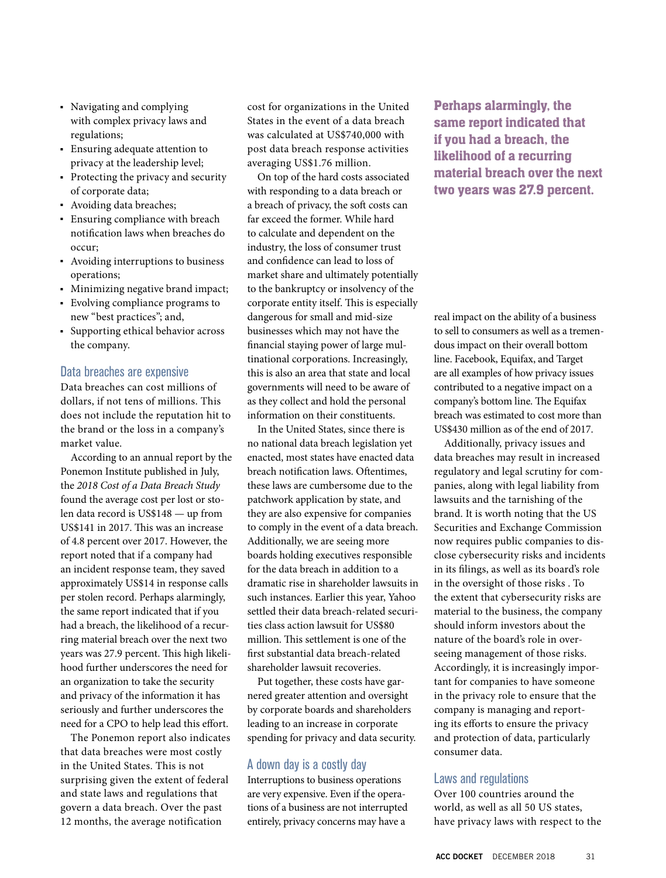- Navigating and complying with complex privacy laws and regulations;
- Ensuring adequate attention to privacy at the leadership level;
- Protecting the privacy and security of corporate data;
- Avoiding data breaches;
- Ensuring compliance with breach notification laws when breaches do occur;
- Avoiding interruptions to business operations;
- Minimizing negative brand impact;
- Evolving compliance programs to new "best practices"; and,
- Supporting ethical behavior across the company.

## Data breaches are expensive

Data breaches can cost millions of dollars, if not tens of millions. This does not include the reputation hit to the brand or the loss in a company's market value.

According to an annual report by the Ponemon Institute published in July, the *2018 Cost of a Data Breach Study* found the average cost per lost or stolen data record is US\$148 — up from US\$141 in 2017. This was an increase of 4.8 percent over 2017. However, the report noted that if a company had an incident response team, they saved approximately US\$14 in response calls per stolen record. Perhaps alarmingly, the same report indicated that if you had a breach, the likelihood of a recurring material breach over the next two years was 27.9 percent. This high likelihood further underscores the need for an organization to take the security and privacy of the information it has seriously and further underscores the need for a CPO to help lead this effort.

The Ponemon report also indicates that data breaches were most costly in the United States. This is not surprising given the extent of federal and state laws and regulations that govern a data breach. Over the past 12 months, the average notification

cost for organizations in the United States in the event of a data breach was calculated at US\$740,000 with post data breach response activities averaging US\$1.76 million.

On top of the hard costs associated with responding to a data breach or a breach of privacy, the soft costs can far exceed the former. While hard to calculate and dependent on the industry, the loss of consumer trust and confidence can lead to loss of market share and ultimately potentially to the bankruptcy or insolvency of the corporate entity itself. This is especially dangerous for small and mid-size businesses which may not have the financial staying power of large multinational corporations. Increasingly, this is also an area that state and local governments will need to be aware of as they collect and hold the personal information on their constituents.

In the United States, since there is no national data breach legislation yet enacted, most states have enacted data breach notification laws. Oftentimes, these laws are cumbersome due to the patchwork application by state, and they are also expensive for companies to comply in the event of a data breach. Additionally, we are seeing more boards holding executives responsible for the data breach in addition to a dramatic rise in shareholder lawsuits in such instances. Earlier this year, Yahoo settled their data breach-related securities class action lawsuit for US\$80 million. This settlement is one of the first substantial data breach-related shareholder lawsuit recoveries.

Put together, these costs have garnered greater attention and oversight by corporate boards and shareholders leading to an increase in corporate spending for privacy and data security.

## A down day is a costly day

Interruptions to business operations are very expensive. Even if the operations of a business are not interrupted entirely, privacy concerns may have a

Perhaps alarmingly, the same report indicated that if you had a breach, the likelihood of a recurring material breach over the next two years was 27.9 percent.

real impact on the ability of a business to sell to consumers as well as a tremendous impact on their overall bottom line. Facebook, Equifax, and Target are all examples of how privacy issues contributed to a negative impact on a company's bottom line. The Equifax breach was estimated to cost more than US\$430 million as of the end of 2017.

Additionally, privacy issues and data breaches may result in increased regulatory and legal scrutiny for companies, along with legal liability from lawsuits and the tarnishing of the brand. It is worth noting that the US Securities and Exchange Commission now requires public companies to disclose cybersecurity risks and incidents in its filings, as well as its board's role in the oversight of those risks . To the extent that cybersecurity risks are material to the business, the company should inform investors about the nature of the board's role in overseeing management of those risks. Accordingly, it is increasingly important for companies to have someone in the privacy role to ensure that the company is managing and reporting its efforts to ensure the privacy and protection of data, particularly consumer data.

## Laws and regulations

Over 100 countries around the world, as well as all 50 US states, have privacy laws with respect to the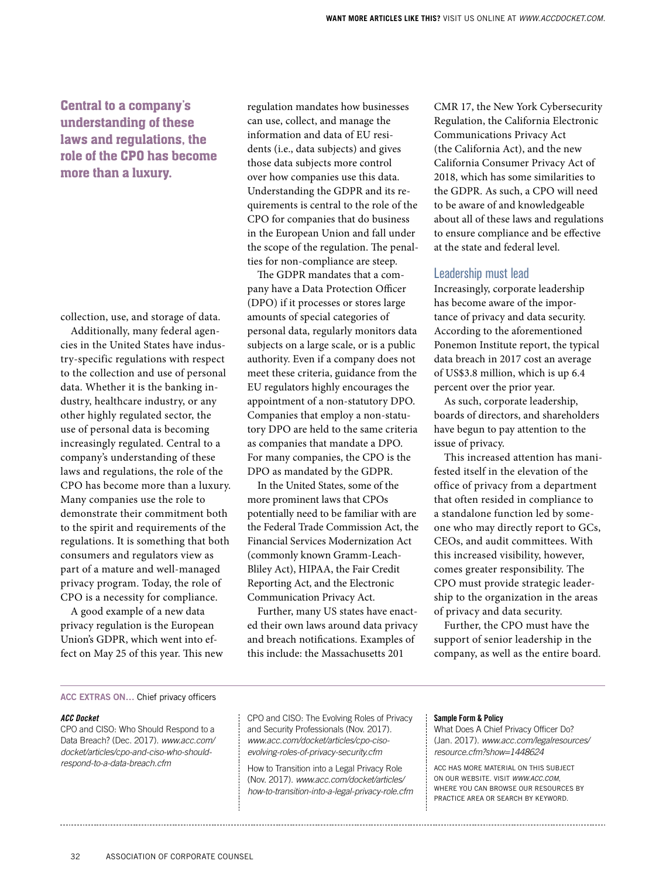# Central to a company's understanding of these laws and regulations, the role of the CPO has become more than a luxury.

collection, use, and storage of data.

Additionally, many federal agencies in the United States have industry-specific regulations with respect to the collection and use of personal data. Whether it is the banking industry, healthcare industry, or any other highly regulated sector, the use of personal data is becoming increasingly regulated. Central to a company's understanding of these laws and regulations, the role of the CPO has become more than a luxury. Many companies use the role to demonstrate their commitment both to the spirit and requirements of the regulations. It is something that both consumers and regulators view as part of a mature and well-managed privacy program. Today, the role of CPO is a necessity for compliance.

A good example of a new data privacy regulation is the European Union's GDPR, which went into effect on May 25 of this year. This new

regulation mandates how businesses can use, collect, and manage the information and data of EU residents (i.e., data subjects) and gives those data subjects more control over how companies use this data. Understanding the GDPR and its requirements is central to the role of the CPO for companies that do business in the European Union and fall under the scope of the regulation. The penalties for non-compliance are steep.

The GDPR mandates that a company have a Data Protection Officer (DPO) if it processes or stores large amounts of special categories of personal data, regularly monitors data subjects on a large scale, or is a public authority. Even if a company does not meet these criteria, guidance from the EU regulators highly encourages the appointment of a non-statutory DPO. Companies that employ a non-statutory DPO are held to the same criteria as companies that mandate a DPO. For many companies, the CPO is the DPO as mandated by the GDPR.

In the United States, some of the more prominent laws that CPOs potentially need to be familiar with are the Federal Trade Commission Act, the Financial Services Modernization Act (commonly known Gramm-Leach-Bliley Act), HIPAA, the Fair Credit Reporting Act, and the Electronic Communication Privacy Act.

Further, many US states have enacted their own laws around data privacy and breach notifications. Examples of this include: the Massachusetts 201

CMR 17, the New York Cybersecurity Regulation, the California Electronic Communications Privacy Act (the California Act), and the new California Consumer Privacy Act of 2018, which has some similarities to the GDPR. As such, a CPO will need to be aware of and knowledgeable about all of these laws and regulations to ensure compliance and be effective at the state and federal level.

## Leadership must lead

Increasingly, corporate leadership has become aware of the importance of privacy and data security. According to the aforementioned Ponemon Institute report, the typical data breach in 2017 cost an average of US\$3.8 million, which is up 6.4 percent over the prior year.

As such, corporate leadership, boards of directors, and shareholders have begun to pay attention to the issue of privacy.

This increased attention has manifested itself in the elevation of the office of privacy from a department that often resided in compliance to a standalone function led by someone who may directly report to GCs, CEOs, and audit committees. With this increased visibility, however, comes greater responsibility. The CPO must provide strategic leadership to the organization in the areas of privacy and data security.

Further, the CPO must have the support of senior leadership in the company, as well as the entire board.

## **ACC EXTRAS ON…** Chief privacy officers

#### *ACC Docket*

CPO and CISO: Who Should Respond to a Data Breach? (Dec. 2017). *www.acc.com/ docket/articles/cpo-and-ciso-who-shouldrespond-to-a-data-breach.cfm*

CPO and CISO: The Evolving Roles of Privacy and Security Professionals (Nov. 2017). *www.acc.com/docket/articles/cpo-cisoevolving-roles-of-privacy-security.cfm*

How to Transition into a Legal Privacy Role (Nov. 2017). *www.acc.com/docket/articles/ how-to-transition-into-a-legal-privacy-role.cfm*

#### **Sample Form & Policy**

What Does A Chief Privacy Officer Do? (Jan. 2017). *www.acc.com/legalresources/ resource.cfm?show=1448624*

ACC HAS MORE MATERIAL ON THIS SUBJECT ON OUR WEBSITE. VISIT *WWW.ACC.COM*, WHERE YOU CAN BROWSE OUR RESOURCES BY PRACTICE AREA OR SEARCH BY KEYWORD.